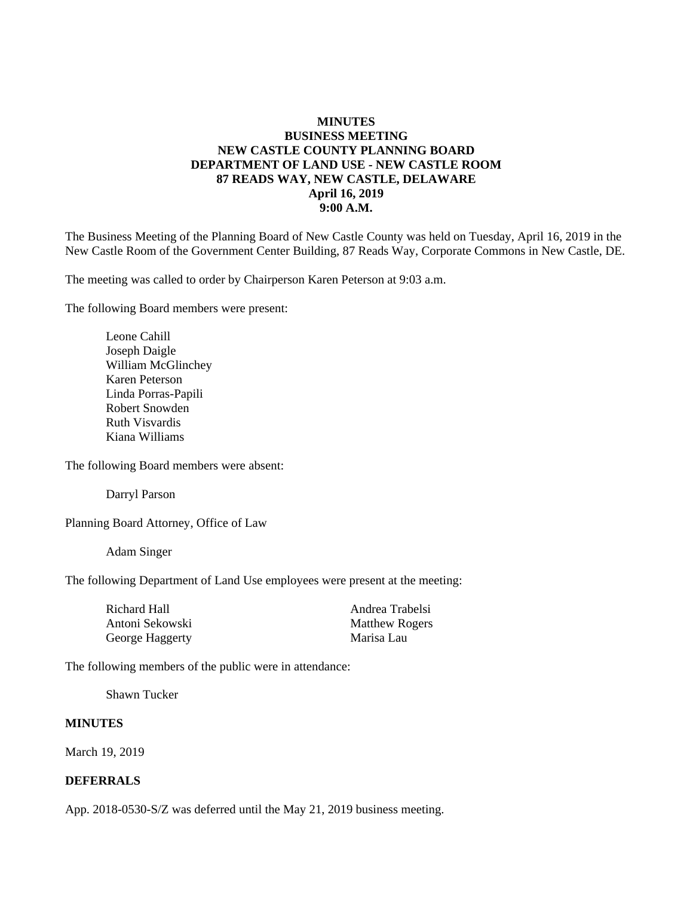## **MINUTES BUSINESS MEETING NEW CASTLE COUNTY PLANNING BOARD DEPARTMENT OF LAND USE - NEW CASTLE ROOM 87 READS WAY, NEW CASTLE, DELAWARE April 16, 2019 9:00 A.M.**

The Business Meeting of the Planning Board of New Castle County was held on Tuesday, April 16, 2019 in the New Castle Room of the Government Center Building, 87 Reads Way, Corporate Commons in New Castle, DE.

The meeting was called to order by Chairperson Karen Peterson at 9:03 a.m.

The following Board members were present:

Leone Cahill Joseph Daigle William McGlinchey Karen Peterson Linda Porras-Papili Robert Snowden Ruth Visvardis Kiana Williams

The following Board members were absent:

Darryl Parson

Planning Board Attorney, Office of Law

Adam Singer

The following Department of Land Use employees were present at the meeting:

| Richard Hall    | Andrea Trabelsi       |
|-----------------|-----------------------|
| Antoni Sekowski | <b>Matthew Rogers</b> |
| George Haggerty | Marisa Lau            |

The following members of the public were in attendance:

Shawn Tucker

#### **MINUTES**

March 19, 2019

#### **DEFERRALS**

App. 2018-0530-S/Z was deferred until the May 21, 2019 business meeting.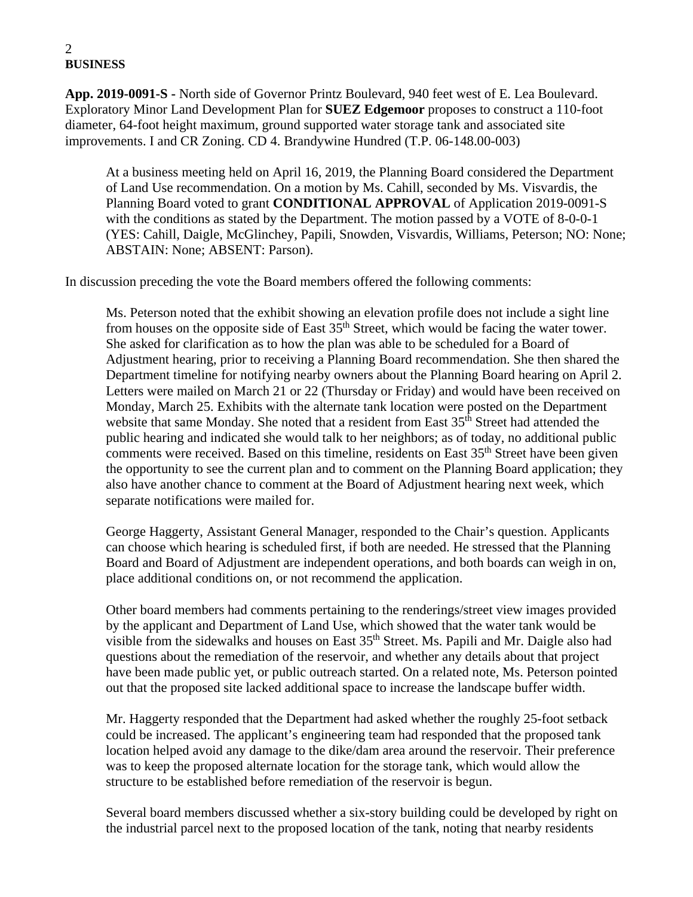# 2 **BUSINESS**

**App. 2019-0091-S -** North side of Governor Printz Boulevard, 940 feet west of E. Lea Boulevard. Exploratory Minor Land Development Plan for **SUEZ Edgemoor** proposes to construct a 110-foot diameter, 64-foot height maximum, ground supported water storage tank and associated site improvements. I and CR Zoning. CD 4. Brandywine Hundred (T.P. 06-148.00-003)

At a business meeting held on April 16, 2019, the Planning Board considered the Department of Land Use recommendation. On a motion by Ms. Cahill, seconded by Ms. Visvardis, the Planning Board voted to grant **CONDITIONAL APPROVAL** of Application 2019-0091-S with the conditions as stated by the Department. The motion passed by a VOTE of 8-0-0-1 (YES: Cahill, Daigle, McGlinchey, Papili, Snowden, Visvardis, Williams, Peterson; NO: None; ABSTAIN: None; ABSENT: Parson).

In discussion preceding the vote the Board members offered the following comments:

Ms. Peterson noted that the exhibit showing an elevation profile does not include a sight line from houses on the opposite side of East  $35<sup>th</sup>$  Street, which would be facing the water tower. She asked for clarification as to how the plan was able to be scheduled for a Board of Adjustment hearing, prior to receiving a Planning Board recommendation. She then shared the Department timeline for notifying nearby owners about the Planning Board hearing on April 2. Letters were mailed on March 21 or 22 (Thursday or Friday) and would have been received on Monday, March 25. Exhibits with the alternate tank location were posted on the Department website that same Monday. She noted that a resident from East 35<sup>th</sup> Street had attended the public hearing and indicated she would talk to her neighbors; as of today, no additional public comments were received. Based on this timeline, residents on East 35<sup>th</sup> Street have been given the opportunity to see the current plan and to comment on the Planning Board application; they also have another chance to comment at the Board of Adjustment hearing next week, which separate notifications were mailed for.

George Haggerty, Assistant General Manager, responded to the Chair's question. Applicants can choose which hearing is scheduled first, if both are needed. He stressed that the Planning Board and Board of Adjustment are independent operations, and both boards can weigh in on, place additional conditions on, or not recommend the application.

Other board members had comments pertaining to the renderings/street view images provided by the applicant and Department of Land Use, which showed that the water tank would be visible from the sidewalks and houses on East 35<sup>th</sup> Street. Ms. Papili and Mr. Daigle also had questions about the remediation of the reservoir, and whether any details about that project have been made public yet, or public outreach started. On a related note, Ms. Peterson pointed out that the proposed site lacked additional space to increase the landscape buffer width.

Mr. Haggerty responded that the Department had asked whether the roughly 25-foot setback could be increased. The applicant's engineering team had responded that the proposed tank location helped avoid any damage to the dike/dam area around the reservoir. Their preference was to keep the proposed alternate location for the storage tank, which would allow the structure to be established before remediation of the reservoir is begun.

Several board members discussed whether a six-story building could be developed by right on the industrial parcel next to the proposed location of the tank, noting that nearby residents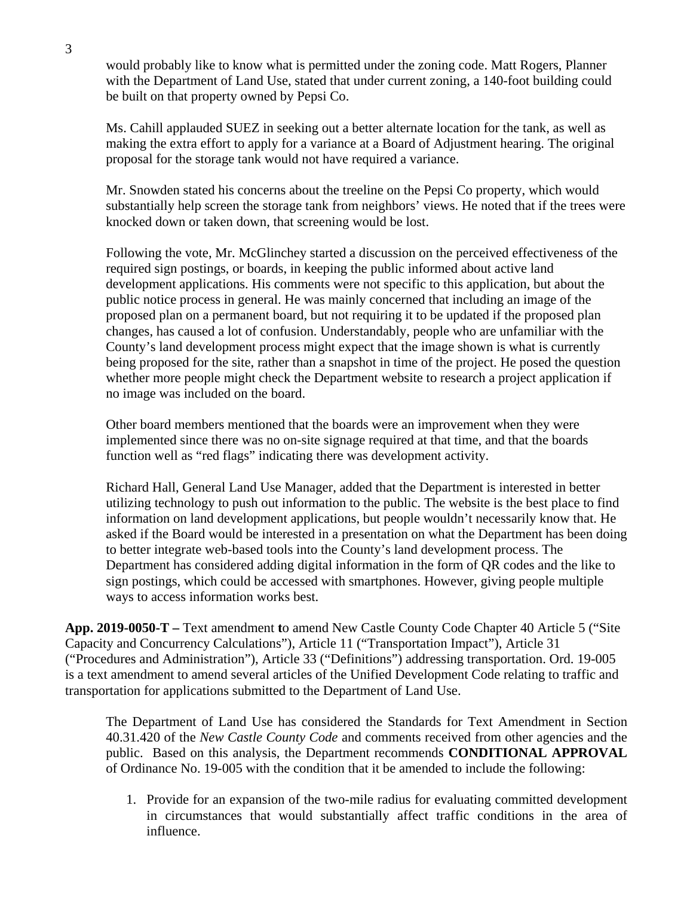would probably like to know what is permitted under the zoning code. Matt Rogers, Planner with the Department of Land Use, stated that under current zoning, a 140-foot building could be built on that property owned by Pepsi Co.

Ms. Cahill applauded SUEZ in seeking out a better alternate location for the tank, as well as making the extra effort to apply for a variance at a Board of Adjustment hearing. The original proposal for the storage tank would not have required a variance.

Mr. Snowden stated his concerns about the treeline on the Pepsi Co property, which would substantially help screen the storage tank from neighbors' views. He noted that if the trees were knocked down or taken down, that screening would be lost.

Following the vote, Mr. McGlinchey started a discussion on the perceived effectiveness of the required sign postings, or boards, in keeping the public informed about active land development applications. His comments were not specific to this application, but about the public notice process in general. He was mainly concerned that including an image of the proposed plan on a permanent board, but not requiring it to be updated if the proposed plan changes, has caused a lot of confusion. Understandably, people who are unfamiliar with the County's land development process might expect that the image shown is what is currently being proposed for the site, rather than a snapshot in time of the project. He posed the question whether more people might check the Department website to research a project application if no image was included on the board.

Other board members mentioned that the boards were an improvement when they were implemented since there was no on-site signage required at that time, and that the boards function well as "red flags" indicating there was development activity.

Richard Hall, General Land Use Manager, added that the Department is interested in better utilizing technology to push out information to the public. The website is the best place to find information on land development applications, but people wouldn't necessarily know that. He asked if the Board would be interested in a presentation on what the Department has been doing to better integrate web-based tools into the County's land development process. The Department has considered adding digital information in the form of QR codes and the like to sign postings, which could be accessed with smartphones. However, giving people multiple ways to access information works best.

**App. 2019-0050-T –** Text amendment **t**o amend New Castle County Code Chapter 40 Article 5 ("Site Capacity and Concurrency Calculations"), Article 11 ("Transportation Impact"), Article 31 ("Procedures and Administration"), Article 33 ("Definitions") addressing transportation. Ord. 19-005 is a text amendment to amend several articles of the Unified Development Code relating to traffic and transportation for applications submitted to the Department of Land Use.

The Department of Land Use has considered the Standards for Text Amendment in Section 40.31.420 of the *New Castle County Code* and comments received from other agencies and the public. Based on this analysis, the Department recommends **CONDITIONAL APPROVAL**  of Ordinance No. 19-005 with the condition that it be amended to include the following:

1. Provide for an expansion of the two-mile radius for evaluating committed development in circumstances that would substantially affect traffic conditions in the area of influence.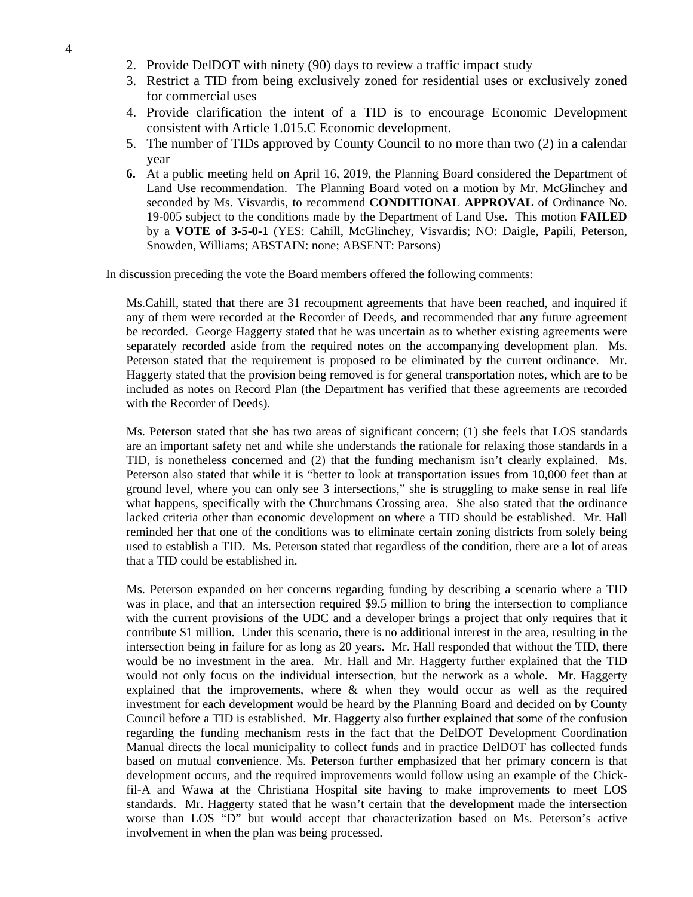- 2. Provide DelDOT with ninety (90) days to review a traffic impact study
- 3. Restrict a TID from being exclusively zoned for residential uses or exclusively zoned for commercial uses
- 4. Provide clarification the intent of a TID is to encourage Economic Development consistent with Article 1.015.C Economic development.
- 5. The number of TIDs approved by County Council to no more than two (2) in a calendar year
- **6.** At a public meeting held on April 16, 2019, the Planning Board considered the Department of Land Use recommendation. The Planning Board voted on a motion by Mr. McGlinchey and seconded by Ms. Visvardis, to recommend **CONDITIONAL APPROVAL** of Ordinance No. 19-005 subject to the conditions made by the Department of Land Use. This motion **FAILED** by a **VOTE of 3-5-0-1** (YES: Cahill, McGlinchey, Visvardis; NO: Daigle, Papili, Peterson, Snowden, Williams; ABSTAIN: none; ABSENT: Parsons)

In discussion preceding the vote the Board members offered the following comments:

Ms.Cahill, stated that there are 31 recoupment agreements that have been reached, and inquired if any of them were recorded at the Recorder of Deeds, and recommended that any future agreement be recorded. George Haggerty stated that he was uncertain as to whether existing agreements were separately recorded aside from the required notes on the accompanying development plan. Ms. Peterson stated that the requirement is proposed to be eliminated by the current ordinance. Mr. Haggerty stated that the provision being removed is for general transportation notes, which are to be included as notes on Record Plan (the Department has verified that these agreements are recorded with the Recorder of Deeds).

Ms. Peterson stated that she has two areas of significant concern; (1) she feels that LOS standards are an important safety net and while she understands the rationale for relaxing those standards in a TID, is nonetheless concerned and (2) that the funding mechanism isn't clearly explained. Ms. Peterson also stated that while it is "better to look at transportation issues from 10,000 feet than at ground level, where you can only see 3 intersections," she is struggling to make sense in real life what happens, specifically with the Churchmans Crossing area. She also stated that the ordinance lacked criteria other than economic development on where a TID should be established. Mr. Hall reminded her that one of the conditions was to eliminate certain zoning districts from solely being used to establish a TID. Ms. Peterson stated that regardless of the condition, there are a lot of areas that a TID could be established in.

Ms. Peterson expanded on her concerns regarding funding by describing a scenario where a TID was in place, and that an intersection required \$9.5 million to bring the intersection to compliance with the current provisions of the UDC and a developer brings a project that only requires that it contribute \$1 million. Under this scenario, there is no additional interest in the area, resulting in the intersection being in failure for as long as 20 years. Mr. Hall responded that without the TID, there would be no investment in the area. Mr. Hall and Mr. Haggerty further explained that the TID would not only focus on the individual intersection, but the network as a whole. Mr. Haggerty explained that the improvements, where & when they would occur as well as the required investment for each development would be heard by the Planning Board and decided on by County Council before a TID is established. Mr. Haggerty also further explained that some of the confusion regarding the funding mechanism rests in the fact that the DelDOT Development Coordination Manual directs the local municipality to collect funds and in practice DelDOT has collected funds based on mutual convenience. Ms. Peterson further emphasized that her primary concern is that development occurs, and the required improvements would follow using an example of the Chickfil-A and Wawa at the Christiana Hospital site having to make improvements to meet LOS standards. Mr. Haggerty stated that he wasn't certain that the development made the intersection worse than LOS "D" but would accept that characterization based on Ms. Peterson's active involvement in when the plan was being processed.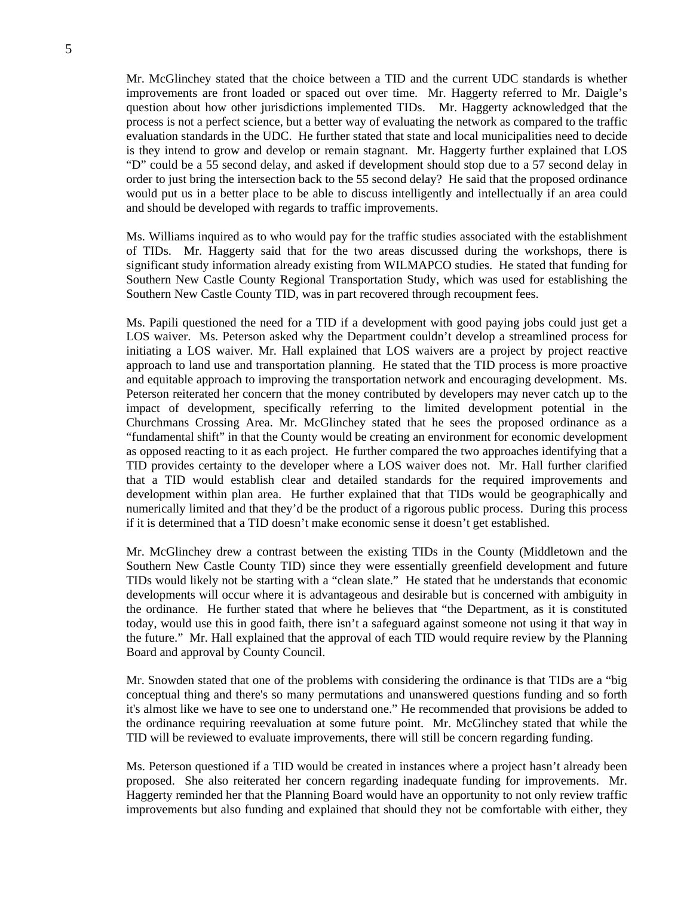Mr. McGlinchey stated that the choice between a TID and the current UDC standards is whether improvements are front loaded or spaced out over time. Mr. Haggerty referred to Mr. Daigle's question about how other jurisdictions implemented TIDs. Mr. Haggerty acknowledged that the process is not a perfect science, but a better way of evaluating the network as compared to the traffic evaluation standards in the UDC. He further stated that state and local municipalities need to decide is they intend to grow and develop or remain stagnant. Mr. Haggerty further explained that LOS "D" could be a 55 second delay, and asked if development should stop due to a 57 second delay in order to just bring the intersection back to the 55 second delay? He said that the proposed ordinance would put us in a better place to be able to discuss intelligently and intellectually if an area could and should be developed with regards to traffic improvements.

Ms. Williams inquired as to who would pay for the traffic studies associated with the establishment of TIDs. Mr. Haggerty said that for the two areas discussed during the workshops, there is significant study information already existing from WILMAPCO studies. He stated that funding for Southern New Castle County Regional Transportation Study, which was used for establishing the Southern New Castle County TID, was in part recovered through recoupment fees.

Ms. Papili questioned the need for a TID if a development with good paying jobs could just get a LOS waiver. Ms. Peterson asked why the Department couldn't develop a streamlined process for initiating a LOS waiver. Mr. Hall explained that LOS waivers are a project by project reactive approach to land use and transportation planning. He stated that the TID process is more proactive and equitable approach to improving the transportation network and encouraging development. Ms. Peterson reiterated her concern that the money contributed by developers may never catch up to the impact of development, specifically referring to the limited development potential in the Churchmans Crossing Area. Mr. McGlinchey stated that he sees the proposed ordinance as a "fundamental shift" in that the County would be creating an environment for economic development as opposed reacting to it as each project. He further compared the two approaches identifying that a TID provides certainty to the developer where a LOS waiver does not. Mr. Hall further clarified that a TID would establish clear and detailed standards for the required improvements and development within plan area. He further explained that that TIDs would be geographically and numerically limited and that they'd be the product of a rigorous public process. During this process if it is determined that a TID doesn't make economic sense it doesn't get established.

Mr. McGlinchey drew a contrast between the existing TIDs in the County (Middletown and the Southern New Castle County TID) since they were essentially greenfield development and future TIDs would likely not be starting with a "clean slate." He stated that he understands that economic developments will occur where it is advantageous and desirable but is concerned with ambiguity in the ordinance. He further stated that where he believes that "the Department, as it is constituted today, would use this in good faith, there isn't a safeguard against someone not using it that way in the future." Mr. Hall explained that the approval of each TID would require review by the Planning Board and approval by County Council.

Mr. Snowden stated that one of the problems with considering the ordinance is that TIDs are a "big conceptual thing and there's so many permutations and unanswered questions funding and so forth it's almost like we have to see one to understand one." He recommended that provisions be added to the ordinance requiring reevaluation at some future point. Mr. McGlinchey stated that while the TID will be reviewed to evaluate improvements, there will still be concern regarding funding.

Ms. Peterson questioned if a TID would be created in instances where a project hasn't already been proposed. She also reiterated her concern regarding inadequate funding for improvements. Mr. Haggerty reminded her that the Planning Board would have an opportunity to not only review traffic improvements but also funding and explained that should they not be comfortable with either, they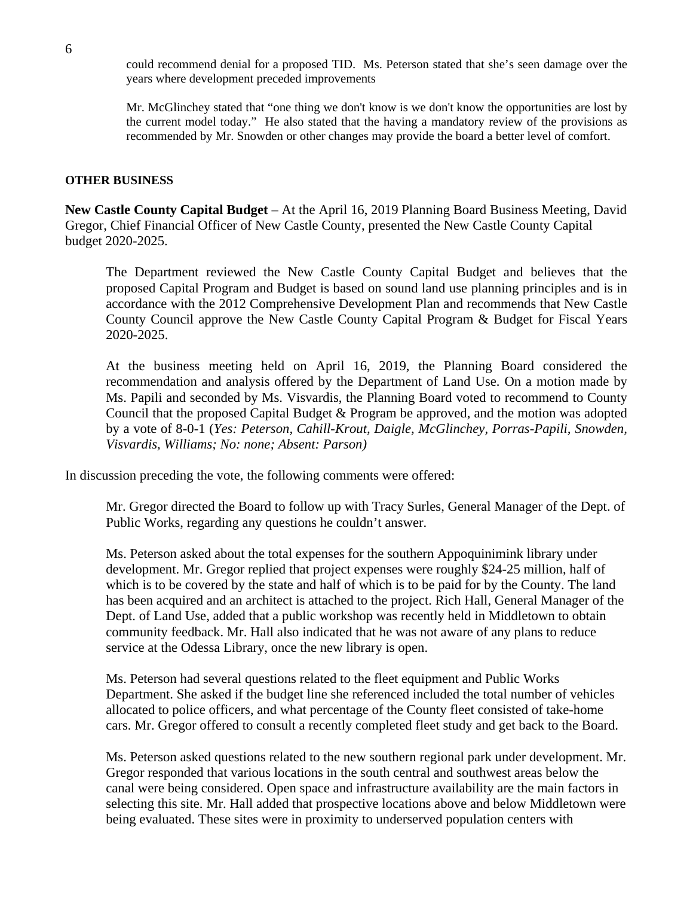could recommend denial for a proposed TID. Ms. Peterson stated that she's seen damage over the years where development preceded improvements

Mr. McGlinchey stated that "one thing we don't know is we don't know the opportunities are lost by the current model today." He also stated that the having a mandatory review of the provisions as recommended by Mr. Snowden or other changes may provide the board a better level of comfort.

#### **OTHER BUSINESS**

**New Castle County Capital Budget** – At the April 16, 2019 Planning Board Business Meeting, David Gregor, Chief Financial Officer of New Castle County, presented the New Castle County Capital budget 2020-2025.

The Department reviewed the New Castle County Capital Budget and believes that the proposed Capital Program and Budget is based on sound land use planning principles and is in accordance with the 2012 Comprehensive Development Plan and recommends that New Castle County Council approve the New Castle County Capital Program & Budget for Fiscal Years 2020-2025.

At the business meeting held on April 16, 2019, the Planning Board considered the recommendation and analysis offered by the Department of Land Use. On a motion made by Ms. Papili and seconded by Ms. Visvardis, the Planning Board voted to recommend to County Council that the proposed Capital Budget & Program be approved, and the motion was adopted by a vote of 8-0-1 (*Yes: Peterson, Cahill-Krout, Daigle, McGlinchey, Porras-Papili, Snowden, Visvardis, Williams; No: none; Absent: Parson)*

In discussion preceding the vote, the following comments were offered:

Mr. Gregor directed the Board to follow up with Tracy Surles, General Manager of the Dept. of Public Works, regarding any questions he couldn't answer.

Ms. Peterson asked about the total expenses for the southern Appoquinimink library under development. Mr. Gregor replied that project expenses were roughly \$24-25 million, half of which is to be covered by the state and half of which is to be paid for by the County. The land has been acquired and an architect is attached to the project. Rich Hall, General Manager of the Dept. of Land Use, added that a public workshop was recently held in Middletown to obtain community feedback. Mr. Hall also indicated that he was not aware of any plans to reduce service at the Odessa Library, once the new library is open.

Ms. Peterson had several questions related to the fleet equipment and Public Works Department. She asked if the budget line she referenced included the total number of vehicles allocated to police officers, and what percentage of the County fleet consisted of take-home cars. Mr. Gregor offered to consult a recently completed fleet study and get back to the Board.

Ms. Peterson asked questions related to the new southern regional park under development. Mr. Gregor responded that various locations in the south central and southwest areas below the canal were being considered. Open space and infrastructure availability are the main factors in selecting this site. Mr. Hall added that prospective locations above and below Middletown were being evaluated. These sites were in proximity to underserved population centers with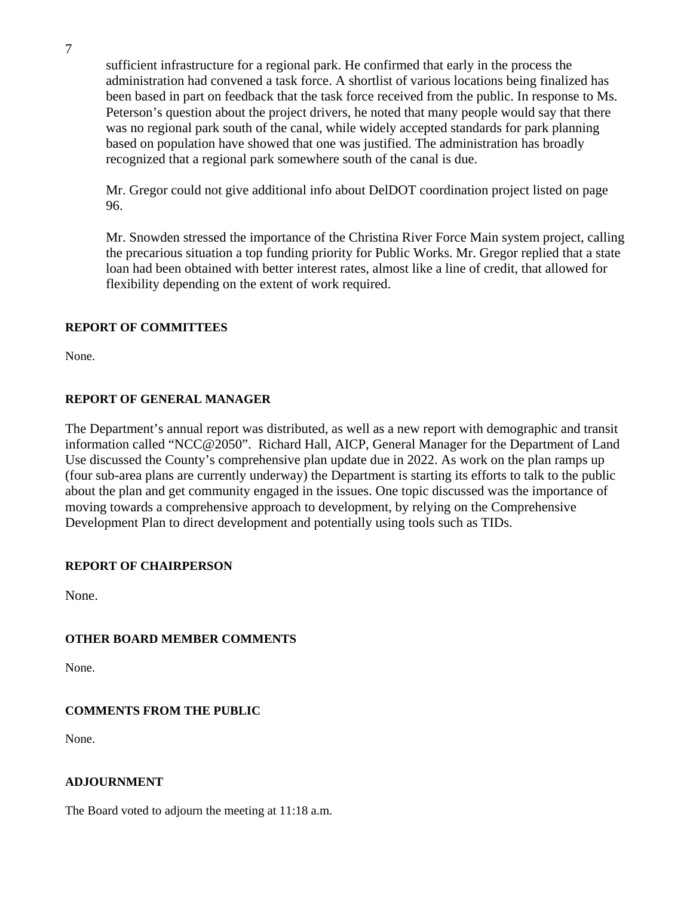sufficient infrastructure for a regional park. He confirmed that early in the process the administration had convened a task force. A shortlist of various locations being finalized has been based in part on feedback that the task force received from the public. In response to Ms. Peterson's question about the project drivers, he noted that many people would say that there was no regional park south of the canal, while widely accepted standards for park planning based on population have showed that one was justified. The administration has broadly recognized that a regional park somewhere south of the canal is due.

Mr. Gregor could not give additional info about DelDOT coordination project listed on page 96.

Mr. Snowden stressed the importance of the Christina River Force Main system project, calling the precarious situation a top funding priority for Public Works. Mr. Gregor replied that a state loan had been obtained with better interest rates, almost like a line of credit, that allowed for flexibility depending on the extent of work required.

# **REPORT OF COMMITTEES**

None.

# **REPORT OF GENERAL MANAGER**

The Department's annual report was distributed, as well as a new report with demographic and transit information called "NCC@2050". Richard Hall, AICP, General Manager for the Department of Land Use discussed the County's comprehensive plan update due in 2022. As work on the plan ramps up (four sub-area plans are currently underway) the Department is starting its efforts to talk to the public about the plan and get community engaged in the issues. One topic discussed was the importance of moving towards a comprehensive approach to development, by relying on the Comprehensive Development Plan to direct development and potentially using tools such as TIDs.

#### **REPORT OF CHAIRPERSON**

None.

# **OTHER BOARD MEMBER COMMENTS**

None.

# **COMMENTS FROM THE PUBLIC**

None.

#### **ADJOURNMENT**

The Board voted to adjourn the meeting at 11:18 a.m.